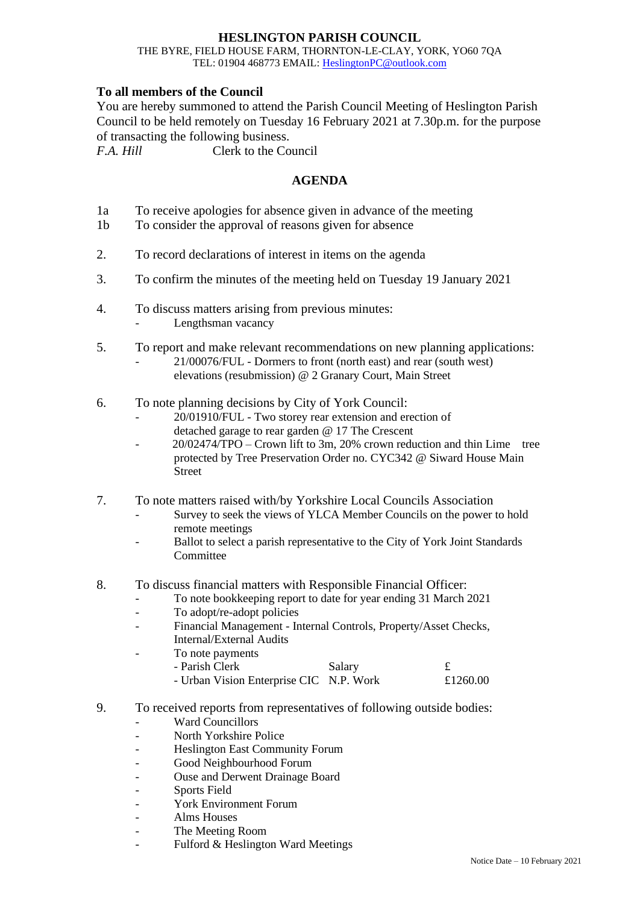## **HESLINGTON PARISH COUNCIL**

## THE BYRE, FIELD HOUSE FARM, THORNTON-LE-CLAY, YORK, YO60 7QA TEL: 01904 468773 EMAIL: [HeslingtonPC@outlook.com](mailto:HeslingtonPC@outlook.com)

## **To all members of the Council**

You are hereby summoned to attend the Parish Council Meeting of Heslington Parish Council to be held remotely on Tuesday 16 February 2021 at 7.30p.m. for the purpose of transacting the following business.

*F.A. Hill* Clerk to the Council

## **AGENDA**

- 1a To receive apologies for absence given in advance of the meeting
- 1b To consider the approval of reasons given for absence
- 2. To record declarations of interest in items on the agenda
- 3. To confirm the minutes of the meeting held on Tuesday 19 January 2021
- 4. To discuss matters arising from previous minutes:
	- Lengthsman vacancy
- 5. To report and make relevant recommendations on new planning applications:
	- 21/00076/FUL Dormers to front (north east) and rear (south west) elevations (resubmission) @ 2 Granary Court, Main Street
- 6. To note planning decisions by City of York Council:
	- 20/01910/FUL Two storey rear extension and erection of detached garage to rear garden @ 17 The Crescent
	- 20/02474/TPO Crown lift to 3m, 20% crown reduction and thin Lime tree protected by Tree Preservation Order no. CYC342 @ Siward House Main Street
- 7. To note matters raised with/by Yorkshire Local Councils Association
	- Survey to seek the views of YLCA Member Councils on the power to hold remote meetings
	- Ballot to select a parish representative to the City of York Joint Standards **Committee**
- 8. To discuss financial matters with Responsible Financial Officer:
	- To note bookkeeping report to date for year ending 31 March 2021
	- To adopt/re-adopt policies
	- Financial Management Internal Controls, Property/Asset Checks, Internal/External Audits
	- To note payments

| - Parish Clerk                          | Salary |          |
|-----------------------------------------|--------|----------|
| - Urban Vision Enterprise CIC N.P. Work |        | £1260.00 |

- 9. To received reports from representatives of following outside bodies:
	- Ward Councillors
	- North Yorkshire Police
	- Heslington East Community Forum
	- Good Neighbourhood Forum
	- Ouse and Derwent Drainage Board
	- Sports Field
	- York Environment Forum
	- Alms Houses
	- The Meeting Room
	- Fulford & Heslington Ward Meetings